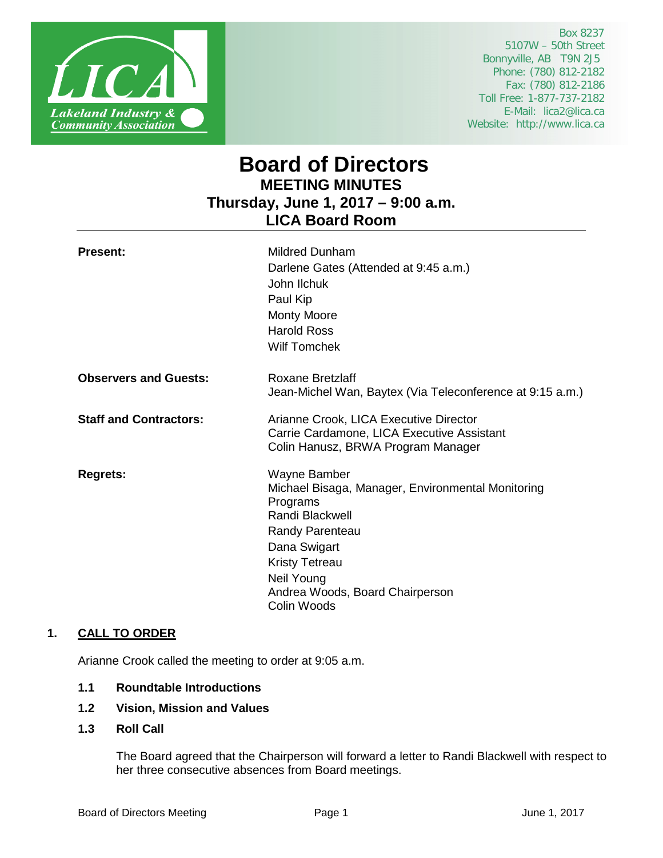

 Box 8237 5107W – 50th Street Bonnyville, AB T9N 2J5 Phone: (780) 812-2182 Fax: (780) 812-2186 Toll Free: 1-877-737-2182 E-Mail: lica2@lica.ca Website: http://www.lica.ca

# **Board of Directors MEETING MINUTES Thursday, June 1, 2017 – 9:00 a.m. LICA Board Room**

| <b>Present:</b>               | <b>Mildred Dunham</b><br>Darlene Gates (Attended at 9:45 a.m.)<br>John Ilchuk<br>Paul Kip<br><b>Monty Moore</b><br><b>Harold Ross</b><br><b>Wilf Tomchek</b>                                                                 |
|-------------------------------|------------------------------------------------------------------------------------------------------------------------------------------------------------------------------------------------------------------------------|
| <b>Observers and Guests:</b>  | Roxane Bretzlaff<br>Jean-Michel Wan, Baytex (Via Teleconference at 9:15 a.m.)                                                                                                                                                |
| <b>Staff and Contractors:</b> | Arianne Crook, LICA Executive Director<br>Carrie Cardamone, LICA Executive Assistant<br>Colin Hanusz, BRWA Program Manager                                                                                                   |
| <b>Regrets:</b>               | Wayne Bamber<br>Michael Bisaga, Manager, Environmental Monitoring<br>Programs<br>Randi Blackwell<br>Randy Parenteau<br>Dana Swigart<br><b>Kristy Tetreau</b><br>Neil Young<br>Andrea Woods, Board Chairperson<br>Colin Woods |

# **1. CALL TO ORDER**

Arianne Crook called the meeting to order at 9:05 a.m.

- **1.1 Roundtable Introductions**
- **1.2 Vision, Mission and Values**
- **1.3 Roll Call**

The Board agreed that the Chairperson will forward a letter to Randi Blackwell with respect to her three consecutive absences from Board meetings.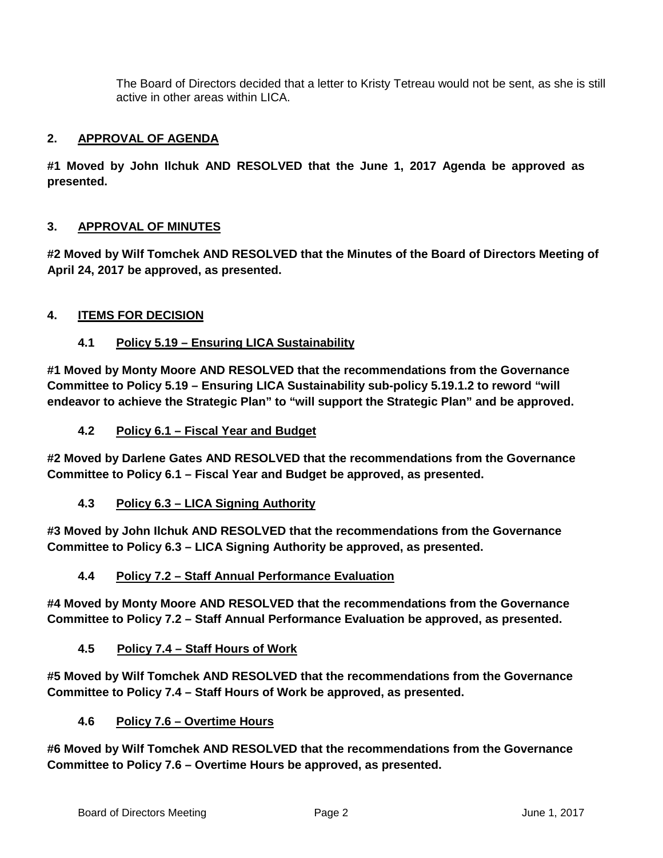The Board of Directors decided that a letter to Kristy Tetreau would not be sent, as she is still active in other areas within LICA.

# **2. APPROVAL OF AGENDA**

**#1 Moved by John Ilchuk AND RESOLVED that the June 1, 2017 Agenda be approved as presented.** 

# **3. APPROVAL OF MINUTES**

**#2 Moved by Wilf Tomchek AND RESOLVED that the Minutes of the Board of Directors Meeting of April 24, 2017 be approved, as presented.**

# **4. ITEMS FOR DECISION**

# **4.1 Policy 5.19 – Ensuring LICA Sustainability**

**#1 Moved by Monty Moore AND RESOLVED that the recommendations from the Governance Committee to Policy 5.19 – Ensuring LICA Sustainability sub-policy 5.19.1.2 to reword "will endeavor to achieve the Strategic Plan" to "will support the Strategic Plan" and be approved.**

# **4.2 Policy 6.1 – Fiscal Year and Budget**

**#2 Moved by Darlene Gates AND RESOLVED that the recommendations from the Governance Committee to Policy 6.1 – Fiscal Year and Budget be approved, as presented.**

**4.3 Policy 6.3 – LICA Signing Authority**

**#3 Moved by John Ilchuk AND RESOLVED that the recommendations from the Governance Committee to Policy 6.3 – LICA Signing Authority be approved, as presented.**

# **4.4 Policy 7.2 – Staff Annual Performance Evaluation**

**#4 Moved by Monty Moore AND RESOLVED that the recommendations from the Governance Committee to Policy 7.2 – Staff Annual Performance Evaluation be approved, as presented.**

**4.5 Policy 7.4 – Staff Hours of Work**

**#5 Moved by Wilf Tomchek AND RESOLVED that the recommendations from the Governance Committee to Policy 7.4 – Staff Hours of Work be approved, as presented.**

**4.6 Policy 7.6 – Overtime Hours**

**#6 Moved by Wilf Tomchek AND RESOLVED that the recommendations from the Governance Committee to Policy 7.6 – Overtime Hours be approved, as presented.**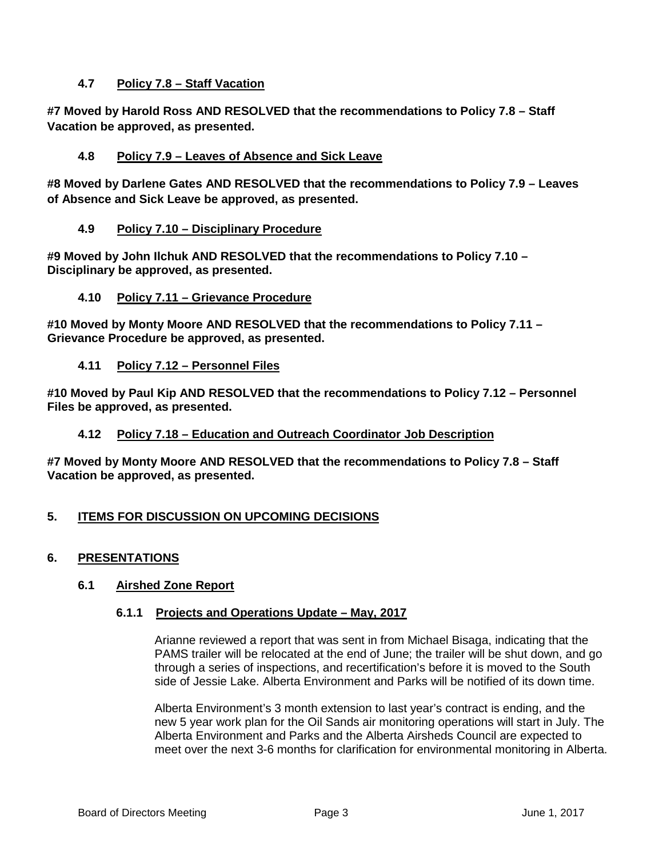# **4.7 Policy 7.8 – Staff Vacation**

**#7 Moved by Harold Ross AND RESOLVED that the recommendations to Policy 7.8 – Staff Vacation be approved, as presented.**

## **4.8 Policy 7.9 – Leaves of Absence and Sick Leave**

**#8 Moved by Darlene Gates AND RESOLVED that the recommendations to Policy 7.9 – Leaves of Absence and Sick Leave be approved, as presented.**

## **4.9 Policy 7.10 – Disciplinary Procedure**

**#9 Moved by John Ilchuk AND RESOLVED that the recommendations to Policy 7.10 – Disciplinary be approved, as presented.**

## **4.10 Policy 7.11 – Grievance Procedure**

**#10 Moved by Monty Moore AND RESOLVED that the recommendations to Policy 7.11 – Grievance Procedure be approved, as presented.**

**4.11 Policy 7.12 – Personnel Files**

**#10 Moved by Paul Kip AND RESOLVED that the recommendations to Policy 7.12 – Personnel Files be approved, as presented.**

#### **4.12 Policy 7.18 – Education and Outreach Coordinator Job Description**

**#7 Moved by Monty Moore AND RESOLVED that the recommendations to Policy 7.8 – Staff Vacation be approved, as presented.**

# **5. ITEMS FOR DISCUSSION ON UPCOMING DECISIONS**

# **6. PRESENTATIONS**

#### **6.1 Airshed Zone Report**

#### **6.1.1 Projects and Operations Update – May, 2017**

Arianne reviewed a report that was sent in from Michael Bisaga, indicating that the PAMS trailer will be relocated at the end of June; the trailer will be shut down, and go through a series of inspections, and recertification's before it is moved to the South side of Jessie Lake. Alberta Environment and Parks will be notified of its down time.

Alberta Environment's 3 month extension to last year's contract is ending, and the new 5 year work plan for the Oil Sands air monitoring operations will start in July. The Alberta Environment and Parks and the Alberta Airsheds Council are expected to meet over the next 3-6 months for clarification for environmental monitoring in Alberta.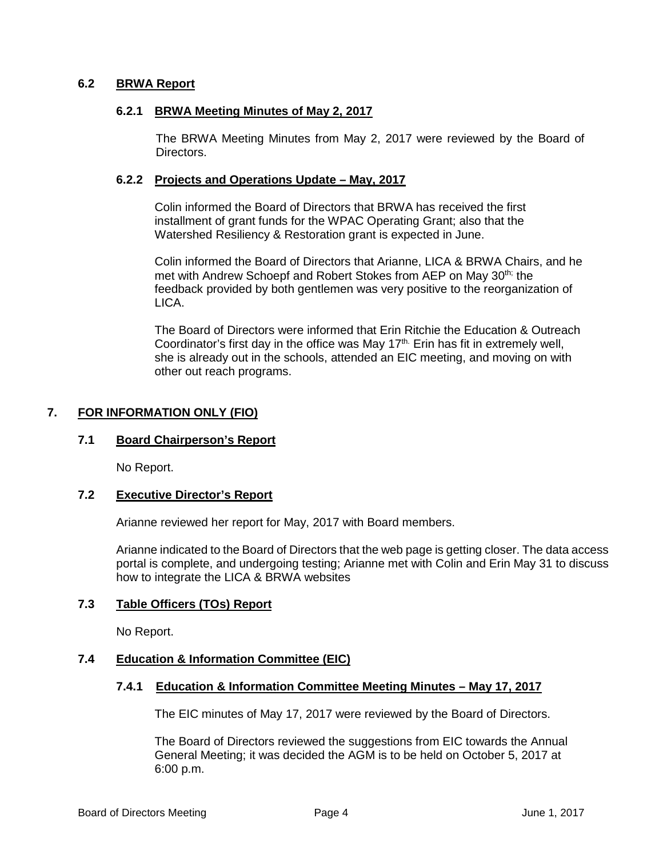## **6.2 BRWA Report**

#### **6.2.1 BRWA Meeting Minutes of May 2, 2017**

The BRWA Meeting Minutes from May 2, 2017 were reviewed by the Board of Directors.

#### **6.2.2 Projects and Operations Update – May, 2017**

Colin informed the Board of Directors that BRWA has received the first installment of grant funds for the WPAC Operating Grant; also that the Watershed Resiliency & Restoration grant is expected in June.

Colin informed the Board of Directors that Arianne, LICA & BRWA Chairs, and he met with Andrew Schoepf and Robert Stokes from AEP on May 30<sup>th;</sup> the feedback provided by both gentlemen was very positive to the reorganization of LICA.

The Board of Directors were informed that Erin Ritchie the Education & Outreach Coordinator's first day in the office was May 17<sup>th.</sup> Erin has fit in extremely well, she is already out in the schools, attended an EIC meeting, and moving on with other out reach programs.

# **7. FOR INFORMATION ONLY (FIO)**

#### **7.1 Board Chairperson's Report**

No Report.

## **7.2 Executive Director's Report**

Arianne reviewed her report for May, 2017 with Board members.

Arianne indicated to the Board of Directors that the web page is getting closer. The data access portal is complete, and undergoing testing; Arianne met with Colin and Erin May 31 to discuss how to integrate the LICA & BRWA websites

# **7.3 Table Officers (TOs) Report**

No Report.

#### **7.4 Education & Information Committee (EIC)**

#### **7.4.1 Education & Information Committee Meeting Minutes – May 17, 2017**

The EIC minutes of May 17, 2017 were reviewed by the Board of Directors.

The Board of Directors reviewed the suggestions from EIC towards the Annual General Meeting; it was decided the AGM is to be held on October 5, 2017 at 6:00 p.m.